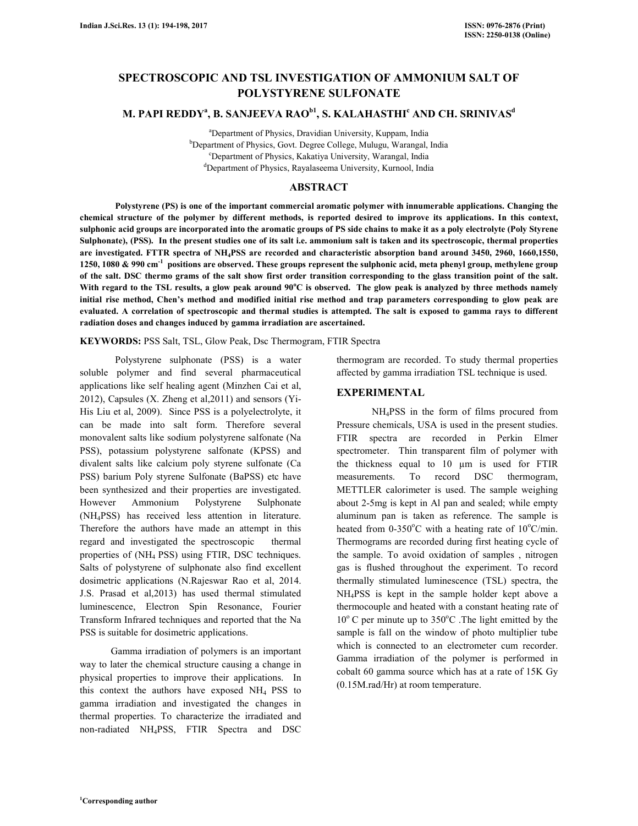# **SPECTROSCOPIC AND TSL INVESTIGATION OF AMMONIUM SALT OF POLYSTYRENE SULFONATE**

# **M. PAPI REDDY<sup>a</sup> , B. SANJEEVA RAOb1, S. KALAHASTHI<sup>c</sup> AND CH. SRINIVAS<sup>d</sup>**

<sup>a</sup>Department of Physics, Dravidian University, Kuppam, India <sup>b</sup>Department of Physics, Govt. Degree College, Mulugu, Warangal, India <sup>c</sup>Department of Physics, Kakatiya University, Warangal, India <sup>d</sup>Department of Physics, Rayalaseema University, Kurnool, India

# **ABSTRACT**

 **Polystyrene (PS) is one of the important commercial aromatic polymer with innumerable applications. Changing the chemical structure of the polymer by different methods, is reported desired to improve its applications. In this context, sulphonic acid groups are incorporated into the aromatic groups of PS side chains to make it as a poly electrolyte (Poly Styrene Sulphonate), (PSS). In the present studies one of its salt i.e. ammonium salt is taken and its spectroscopic, thermal properties are investigated. FTTR spectra of NH4PSS are recorded and characteristic absorption band around 3450, 2960, 1660,1550, 1250, 1080 & 990 cm-1 positions are observed. These groups represent the sulphonic acid, meta phenyl group, methylene group of the salt. DSC thermo grams of the salt show first order transition corresponding to the glass transition point of the salt.**  With regard to the TSL results, a glow peak around 90°C is observed. The glow peak is analyzed by three methods namely **initial rise method, Chen's method and modified initial rise method and trap parameters corresponding to glow peak are evaluated. A correlation of spectroscopic and thermal studies is attempted. The salt is exposed to gamma rays to different radiation doses and changes induced by gamma irradiation are ascertained.** 

**KEYWORDS:** PSS Salt, TSL, Glow Peak, Dsc Thermogram, FTIR Spectra

 Polystyrene sulphonate (PSS) is a water soluble polymer and find several pharmaceutical applications like self healing agent (Minzhen Cai et al, 2012), Capsules (X. Zheng et al,2011) and sensors (Yi-His Liu et al, 2009). Since PSS is a polyelectrolyte, it can be made into salt form. Therefore several monovalent salts like sodium polystyrene salfonate (Na PSS), potassium polystyrene salfonate (KPSS) and divalent salts like calcium poly styrene sulfonate (Ca PSS) barium Poly styrene Sulfonate (BaPSS) etc have been synthesized and their properties are investigated. However Ammonium Polystyrene Sulphonate (NH4PSS) has received less attention in literature. Therefore the authors have made an attempt in this regard and investigated the spectroscopic thermal properties of (NH4 PSS) using FTIR, DSC techniques. Salts of polystyrene of sulphonate also find excellent dosimetric applications (N.Rajeswar Rao et al, 2014. J.S. Prasad et al,2013) has used thermal stimulated luminescence, Electron Spin Resonance, Fourier Transform Infrared techniques and reported that the Na PSS is suitable for dosimetric applications.

Gamma irradiation of polymers is an important way to later the chemical structure causing a change in physical properties to improve their applications. In this context the authors have exposed  $NH<sub>4</sub>$  PSS to gamma irradiation and investigated the changes in thermal properties. To characterize the irradiated and non-radiated NH4PSS, FTIR Spectra and DSC

thermogram are recorded. To study thermal properties affected by gamma irradiation TSL technique is used.

# **EXPERIMENTAL**

 NH4PSS in the form of films procured from Pressure chemicals, USA is used in the present studies. FTIR spectra are recorded in Perkin Elmer spectrometer. Thin transparent film of polymer with the thickness equal to 10 µm is used for FTIR measurements. To record DSC thermogram, METTLER calorimeter is used. The sample weighing about 2-5mg is kept in Al pan and sealed; while empty aluminum pan is taken as reference. The sample is heated from  $0-350^{\circ}$ C with a heating rate of  $10^{\circ}$ C/min. Thermograms are recorded during first heating cycle of the sample. To avoid oxidation of samples , nitrogen gas is flushed throughout the experiment. To record thermally stimulated luminescence (TSL) spectra, the NH4PSS is kept in the sample holder kept above a thermocouple and heated with a constant heating rate of  $10^{\circ}$  C per minute up to 350 $^{\circ}$ C. The light emitted by the sample is fall on the window of photo multiplier tube which is connected to an electrometer cum recorder. Gamma irradiation of the polymer is performed in cobalt 60 gamma source which has at a rate of 15K Gy (0.15M.rad/Hr) at room temperature.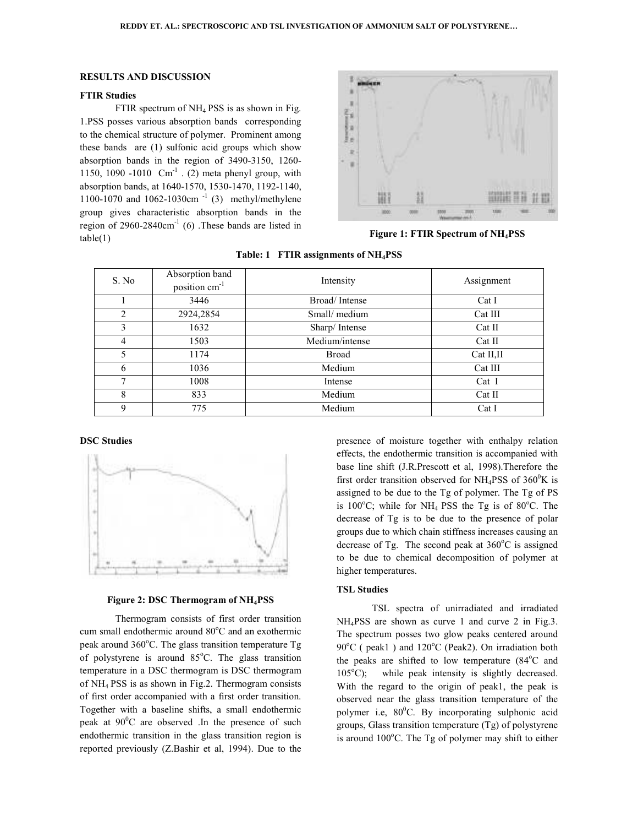#### **RESULTS AND DISCUSSION**

#### **FTIR Studies**

FTIR spectrum of NH<sub>4</sub> PSS is as shown in Fig. 1.PSS posses various absorption bands corresponding to the chemical structure of polymer. Prominent among these bands are (1) sulfonic acid groups which show these bands are (1) sulfonic acid groups which show<br>absorption bands in the region of 3490-3150, 1260-1150, 1090 -1010  $\,$  Cm<sup>-1</sup> . (2) meta phenyl group, with absorption bands, at 1640-1570, 1530-1470, 1192 1470, 1192-1140, 1100-1070 and 1062-1030cm -1 (3) methyl/methylene 1100-1070 and 1062-1030cm<sup>-1</sup> (3) methyl/methylene group gives characteristic absorption bands in the region of  $2960-2840 \text{cm}^{-1}$  (6) .These bands are listed in  $table(1)$ These bands are listed in<br>**Figure 1: FTIR Spectrum of NH<sub>4</sub>PSS** 



| S. No          | Absorption band<br>position cm <sup>-1</sup> | Intensity      | Assignment |
|----------------|----------------------------------------------|----------------|------------|
|                | 3446                                         | Broad/Intense  | Cat I      |
| $\overline{2}$ | 2924,2854                                    | Small/medium   | Cat III    |
| 3              | 1632                                         | Sharp/Intense  | Cat II     |
| 4              | 1503                                         | Medium/intense | Cat II     |
| 5              | 1174                                         | <b>Broad</b>   | Cat II, II |
| 6              | 1036                                         | Medium         | Cat III    |
| 7              | 1008                                         | Intense        | Cat I      |
| 8              | 833                                          | Medium         | Cat II     |
| 9              | 775                                          | Medium         | Cat I      |

**Table: 1 FTIR assignments of NH4PSS** 

# **DSC Studies**



#### **Figure 2: DSC Thermogram of NH <sup>4</sup>PSS**

Thermogram consists of first order transition cum small endothermic around 80°C and an exothermic peak around  $360^{\circ}$ C. The glass transition temperature Tg of polystyrene is around 85°C. The glass transition temperature in a DSC thermogram is DSC thermogram of NH4 PSS is as shown in Fig.2. Thermogram consists of first order accompanied with a first order transition. Together with a baseline shifts, a small endothermic peak at  $90^{\circ}$ C are observed .In the presence of such endothermic transition in the glass transition region is reported previously (Z.Bashir et al, 1994). Due to the s as shown in Fig.2. Thermogram consists<br>accompanied with a first order transition.<br>h a baseline shifts, a small endothermic<br>care observed .In the presence of such<br>transition in the glass transition region is presence of moisture together with enthalpy relation effects, the endothermic transition is accompanied with base line shift (J.R.Prescott et al, 1998 J.R.Prescott al, 1998).Therefore the first order transition observed for  $NH_4$ PSS of 360<sup>0</sup>K is assigned to be due to the Tg of polymer. The Tg of PS is  $100^{\circ}$ C; while for NH<sub>4</sub> PSS the Tg is of 80 $^{\circ}$ C. The decrease of Tg is to be due to the presence of polar groups due to which chain stiffness increases increases causing an decrease of Tg. The second peak at  $360^{\circ}$ C is assigned to be due to chemical decomposition of polymer at higher temperatures.

#### **TSL Studies**

TSL spectra of unirradiated and irradiated NH4PSS are shown as curve 1 and curve 2 in Fig.3. The spectrum posses two glow peaks centered around  $90^{\circ}$ C ( peak1 ) and  $120^{\circ}$ C (Peak2). On irradiation both the peaks are shifted to low temperature (84<sup>o</sup>C and  $105^{\circ}$ C); while peak intensity is slightly decreased. With the regard to the origin of peak1, the peak is observed near the glass transition temperature of the observed near the glass transition temperature of the polymer i.e,  $80^{\circ}$ C. By incorporating sulphonic acid groups, Glass transition temperature (Tg) of polystyrene groups, Glass transition temperature  $(Tg)$  of polystyrene<br>is around  $100^{\circ}$ C. The Tg of polymer may shift to either of unirradiated and irradiated<br>curve 1 and curve 2 in Fig.3.<br>wo glow peaks centered around<br> $C^{\circ}$ C (Peak2). On irradiation both<br>to low temperature (84 $\circ$ C and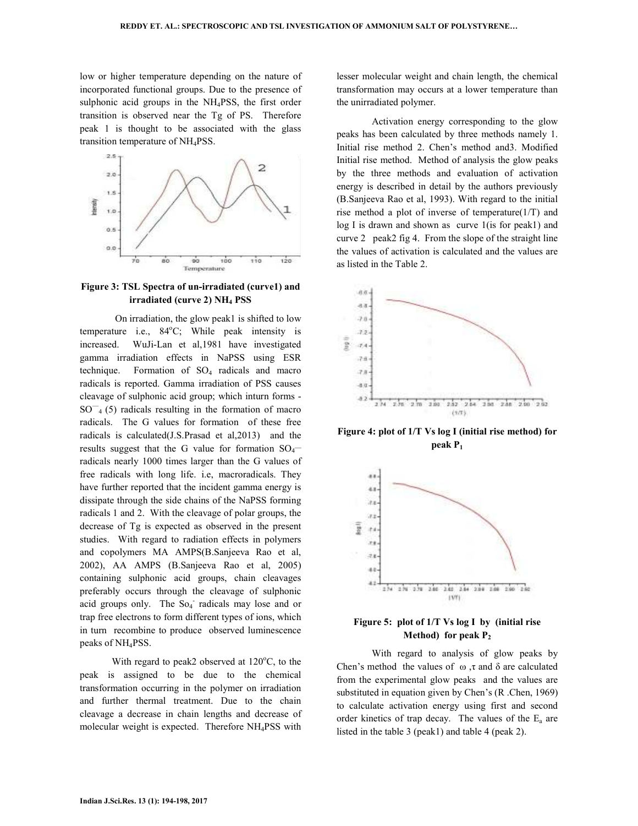low or higher temperature depending on the nature of incorporated functional groups. Due to the presence of sulphonic acid groups in the NH4PSS, the first order transition is observed near the Tg of PS. Therefore peak 1 is thought to be associated with the glass transition temperature of NH4PSS.



**Figure 3: TSL Spectra of un-irradiated (curve1) and irradiated (curve 2) NH4 PSS** 

 On irradiation, the glow peak1 is shifted to low temperature i.e.,  $84^{\circ}$ C; While peak intensity is increased. WuJi-Lan et al,1981 have investigated gamma irradiation effects in NaPSS using ESR technique. Formation of  $SO_4$  radicals and macro radicals is reported. Gamma irradiation of PSS causes cleavage of sulphonic acid group; which inturn forms -  $SO^{-}_{4}$  (5) radicals resulting in the formation of macro radicals. The G values for formation of these free radicals is calculated(J.S.Prasad et al,2013) and the results suggest that the G value for formation  $SO_4$ radicals nearly 1000 times larger than the G values of free radicals with long life. i.e, macroradicals. They have further reported that the incident gamma energy is dissipate through the side chains of the NaPSS forming radicals 1 and 2. With the cleavage of polar groups, the decrease of Tg is expected as observed in the present studies. With regard to radiation effects in polymers and copolymers MA AMPS(B.Sanjeeva Rao et al, 2002), AA AMPS (B.Sanjeeva Rao et al, 2005) containing sulphonic acid groups, chain cleavages preferably occurs through the cleavage of sulphonic acid groups only. The So<sub>4</sub> radicals may lose and or trap free electrons to form different types of ions, which in turn recombine to produce observed luminescence peaks of NH4PSS.

With regard to peak2 observed at  $120^{\circ}$ C, to the peak is assigned to be due to the chemical transformation occurring in the polymer on irradiation and further thermal treatment. Due to the chain cleavage a decrease in chain lengths and decrease of molecular weight is expected. Therefore NH4PSS with

lesser molecular weight and chain length, the chemical transformation may occurs at a lower temperature than the unirradiated polymer.

 Activation energy corresponding to the glow peaks has been calculated by three methods namely 1. Initial rise method 2. Chen's method and3. Modified Initial rise method. Method of analysis the glow peaks by the three methods and evaluation of activation energy is described in detail by the authors previously (B.Sanjeeva Rao et al, 1993). With regard to the initial rise method a plot of inverse of temperature(1/T) and log I is drawn and shown as curve 1(is for peak1) and curve 2 peak2 fig 4. From the slope of the straight line the values of activation is calculated and the values are as listed in the Table 2.



**Figure 4: plot of 1/T Vs log I (initial rise method) for peak P<sup>1</sup>**



# **Figure 5: plot of 1/T Vs log I by (initial rise Method) for peak P<sup>2</sup>**

 With regard to analysis of glow peaks by Chen's method the values of ω, τ and δ are calculated from the experimental glow peaks and the values are substituted in equation given by Chen's (R .Chen, 1969) to calculate activation energy using first and second order kinetics of trap decay. The values of the  $E_a$  are listed in the table 3 (peak1) and table 4 (peak 2).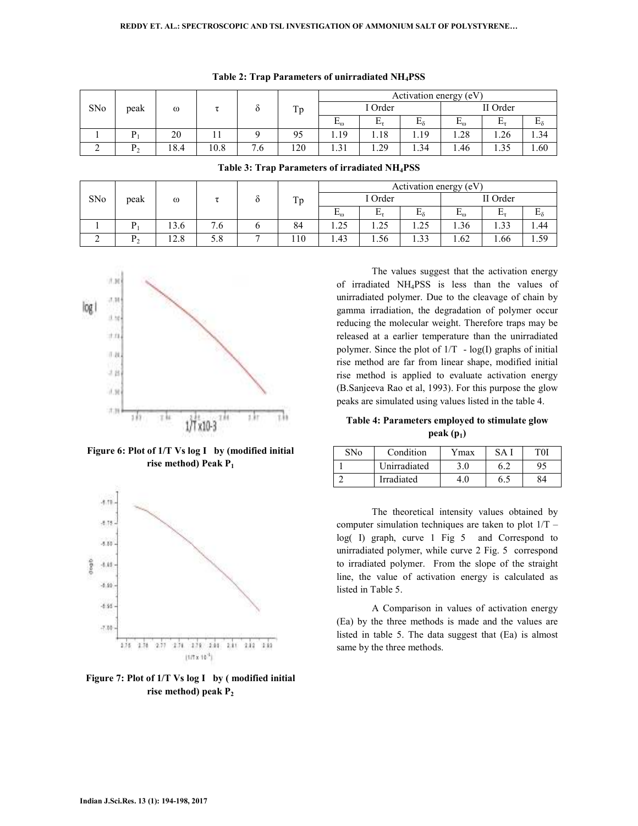| SNo | peak | $\omega$ |      |                      |     | Activation energy (eV)       |            |      |          |      |        |
|-----|------|----------|------|----------------------|-----|------------------------------|------------|------|----------|------|--------|
|     |      |          |      |                      | Tp  | I Order                      |            |      | II Order |      |        |
|     |      |          |      |                      |     | $\mathrm{E}_\mathrm{\omega}$ | $L_{\tau}$ | Ēδ   | ட்       | ட    | ⊷      |
|     |      | 20       |      |                      | 95  | 1.19                         | 1.18       | 1.19 | 1.28     | 1.26 | . . 34 |
|     |      | 18.4     | 10.8 | −<br>.6 <sub>1</sub> | 120 | $\bigcap$ 1                  | 1.29       | 1.34 | 1.46     | 1.35 | 1.60   |

**Table 3: Trap Parameters of irradiated NH4PSS** 

|  |  | Table 2: Trap Parameters of unirradiated NH <sub>4</sub> PSS |  |  |  |  |  |
|--|--|--------------------------------------------------------------|--|--|--|--|--|
|--|--|--------------------------------------------------------------|--|--|--|--|--|

| SNo | peak | $\omega$ |               |  |     | Activation energy (eV) |                |          |                   |          |              |
|-----|------|----------|---------------|--|-----|------------------------|----------------|----------|-------------------|----------|--------------|
|     |      |          |               |  | Tp  | I Order                |                | II Order |                   |          |              |
|     |      |          |               |  |     | $E_{\omega}$           | Е<br><b>LA</b> | ᠇        | −<br>$E_{\omega}$ | Ð<br>ш., | $E_{\delta}$ |
|     |      | 13.6     | $^{\prime}.6$ |  | 84  | 1.25                   | 1.25           | 1.25     | .36               | 1.33     | 1.44         |
| ∼   | D    | 12.8     | cο<br>J.ŏ     |  | 110 | 1.43                   | 1.56           | 1.33     | 1.62              | 1.66     | 1.59         |



**Figure 6: Plot of 1/T Vs log I by (modified initial rise method) Peak P<sup>1</sup>**



**Figure 7: Plot of 1/T Vs log I by ( modified initial rise method) peak P<sup>2</sup>**

The values suggest that the activation energy of irradiated NH4PSS is less than the values of unirradiated polymer. Due to the cleavage of chain by gamma irradiation, the degradation of polymer occur reducing the molecular weight. Therefore traps may be released at a earlier temperature than the unirradiated polymer. Since the plot of  $1/T - log(I)$  graphs of initial rise method are far from linear shape, modified initial rise method is applied to evaluate activation energy (B.Sanjeeva Rao et al, 1993). For this purpose the glow peaks are simulated using values listed in the table 4.

**Table 4: Parameters employed to stimulate glow peak (p1)** 

| SNo | Condition    | Ymax | $S\Lambda$ | T0I |
|-----|--------------|------|------------|-----|
|     | Unirradiated |      |            | 95  |
|     | Irradiated   |      | 6          | 84  |

 The theoretical intensity values obtained by computer simulation techniques are taken to plot 1/T – log( I) graph, curve 1 Fig 5 and Correspond to unirradiated polymer, while curve 2 Fig. 5 correspond to irradiated polymer. From the slope of the straight line, the value of activation energy is calculated as listed in Table 5.

 A Comparison in values of activation energy (Ea) by the three methods is made and the values are listed in table 5. The data suggest that (Ea) is almost same by the three methods.